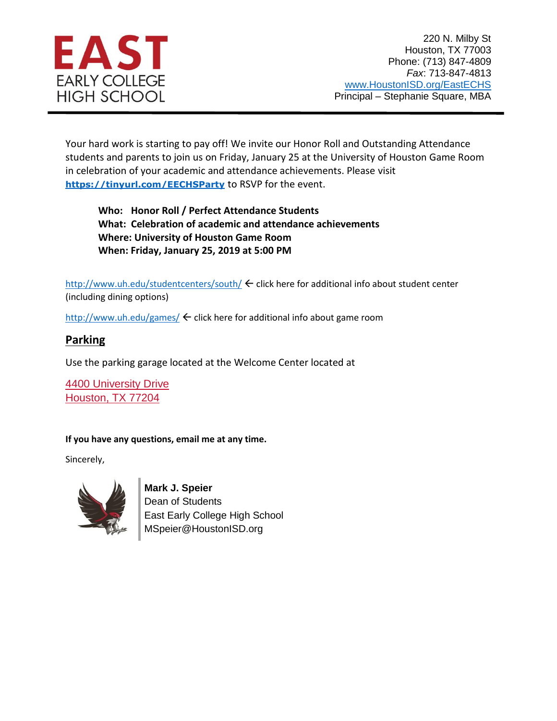

Your hard work is starting to pay off! We invite our Honor Roll and Outstanding Attendance students and parents to join us on Friday, January 25 at the University of Houston Game Room in celebration of your academic and attendance achievements. Please visit **<https://tinyurl.com/EECHSParty>** to RSVP for the event.

**Who: Honor Roll / Perfect Attendance Students What: Celebration of academic and attendance achievements Where: University of Houston Game Room When: Friday, January 25, 2019 at 5:00 PM**

<http://www.uh.edu/studentcenters/south/> $\leftarrow$  click here for additional info about student center (including dining options)

<http://www.uh.edu/games/>  $\leftarrow$  click here for additional info about game room

## **Parking**

Use the parking garage located at the Welcome Center located at

[4400 University Drive](https://www.google.com/maps/place/University+of+Houston+Welcome+Center/@29.7184028,-95.3422361,17z/data=!3m1!4b1!4m5!3m4!1s0x8640be5af6e41a83:0xf3299cd157156660!8m2!3d29.7184028!4d-95.3400474) [Houston, TX 77204](https://www.google.com/maps/place/University+of+Houston+Welcome+Center/@29.7184028,-95.3422361,17z/data=!3m1!4b1!4m5!3m4!1s0x8640be5af6e41a83:0xf3299cd157156660!8m2!3d29.7184028!4d-95.3400474)

## **If you have any questions, email me at any time.**

Sincerely,



**Mark J. Speier** Dean of Students East Early College High School

MSpeier@HoustonISD.org